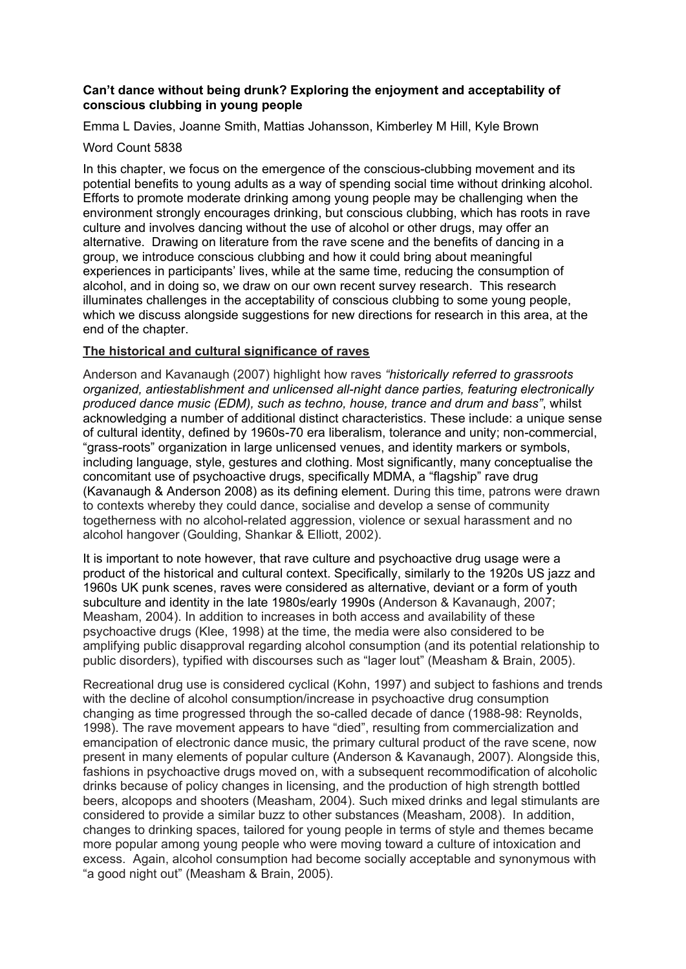## **Can't dance without being drunk? Exploring the enjoyment and acceptability of conscious clubbing in young people**

Emma L Davies, Joanne Smith, Mattias Johansson, Kimberley M Hill, Kyle Brown

### Word Count 5838

In this chapter, we focus on the emergence of the conscious-clubbing movement and its potential benefits to young adults as a way of spending social time without drinking alcohol. Efforts to promote moderate drinking among young people may be challenging when the environment strongly encourages drinking, but conscious clubbing, which has roots in rave culture and involves dancing without the use of alcohol or other drugs, may offer an alternative. Drawing on literature from the rave scene and the benefits of dancing in a group, we introduce conscious clubbing and how it could bring about meaningful experiences in participants' lives, while at the same time, reducing the consumption of alcohol, and in doing so, we draw on our own recent survey research. This research illuminates challenges in the acceptability of conscious clubbing to some young people, which we discuss alongside suggestions for new directions for research in this area, at the end of the chapter.

## **The historical and cultural significance of raves**

Anderson and Kavanaugh (2007) highlight how raves *"historically referred to grassroots organized, antiestablishment and unlicensed all-night dance parties, featuring electronically produced dance music (EDM), such as techno, house, trance and drum and bass"*, whilst acknowledging a number of additional distinct characteristics. These include: a unique sense of cultural identity, defined by 1960s-70 era liberalism, tolerance and unity; non-commercial, "grass-roots" organization in large unlicensed venues, and identity markers or symbols, including language, style, gestures and clothing. Most significantly, many conceptualise the concomitant use of psychoactive drugs, specifically MDMA, a "flagship" rave drug (Kavanaugh & Anderson 2008) as its defining element. During this time, patrons were drawn to contexts whereby they could dance, socialise and develop a sense of community togetherness with no alcohol-related aggression, violence or sexual harassment and no alcohol hangover (Goulding, Shankar & Elliott, 2002).

It is important to note however, that rave culture and psychoactive drug usage were a product of the historical and cultural context. Specifically, similarly to the 1920s US jazz and 1960s UK punk scenes, raves were considered as alternative, deviant or a form of youth subculture and identity in the late 1980s/early 1990s (Anderson & Kavanaugh, 2007; Measham, 2004). In addition to increases in both access and availability of these psychoactive drugs (Klee, 1998) at the time, the media were also considered to be amplifying public disapproval regarding alcohol consumption (and its potential relationship to public disorders), typified with discourses such as "lager lout" (Measham & Brain, 2005).

Recreational drug use is considered cyclical (Kohn, 1997) and subject to fashions and trends with the decline of alcohol consumption/increase in psychoactive drug consumption changing as time progressed through the so-called decade of dance (1988-98: Reynolds, 1998). The rave movement appears to have "died", resulting from commercialization and emancipation of electronic dance music, the primary cultural product of the rave scene, now present in many elements of popular culture (Anderson & Kavanaugh, 2007). Alongside this, fashions in psychoactive drugs moved on, with a subsequent recommodification of alcoholic drinks because of policy changes in licensing, and the production of high strength bottled beers, alcopops and shooters (Measham, 2004). Such mixed drinks and legal stimulants are considered to provide a similar buzz to other substances (Measham, 2008). In addition, changes to drinking spaces, tailored for young people in terms of style and themes became more popular among young people who were moving toward a culture of intoxication and excess. Again, alcohol consumption had become socially acceptable and synonymous with "a good night out" (Measham & Brain, 2005).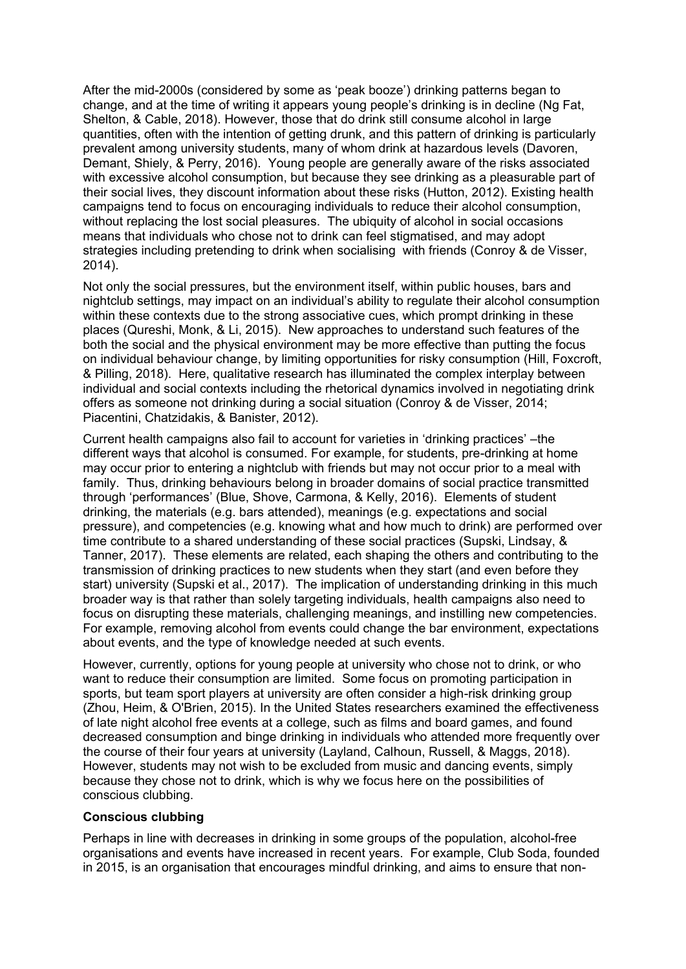After the mid-2000s (considered by some as 'peak booze') drinking patterns began to change, and at the time of writing it appears young people's drinking is in decline (Ng Fat, Shelton, & Cable, 2018). However, those that do drink still consume alcohol in large quantities, often with the intention of getting drunk, and this pattern of drinking is particularly prevalent among university students, many of whom drink at hazardous levels (Davoren, Demant, Shiely, & Perry, 2016). Young people are generally aware of the risks associated with excessive alcohol consumption, but because they see drinking as a pleasurable part of their social lives, they discount information about these risks (Hutton, 2012). Existing health campaigns tend to focus on encouraging individuals to reduce their alcohol consumption, without replacing the lost social pleasures. The ubiquity of alcohol in social occasions means that individuals who chose not to drink can feel stigmatised, and may adopt strategies including pretending to drink when socialising with friends (Conroy & de Visser, 2014).

Not only the social pressures, but the environment itself, within public houses, bars and nightclub settings, may impact on an individual's ability to regulate their alcohol consumption within these contexts due to the strong associative cues, which prompt drinking in these places (Qureshi, Monk, & Li, 2015). New approaches to understand such features of the both the social and the physical environment may be more effective than putting the focus on individual behaviour change, by limiting opportunities for risky consumption (Hill, Foxcroft, & Pilling, 2018). Here, qualitative research has illuminated the complex interplay between individual and social contexts including the rhetorical dynamics involved in negotiating drink offers as someone not drinking during a social situation (Conroy & de Visser, 2014; Piacentini, Chatzidakis, & Banister, 2012).

Current health campaigns also fail to account for varieties in 'drinking practices' –the different ways that alcohol is consumed. For example, for students, pre-drinking at home may occur prior to entering a nightclub with friends but may not occur prior to a meal with family. Thus, drinking behaviours belong in broader domains of social practice transmitted through 'performances' (Blue, Shove, Carmona, & Kelly, 2016). Elements of student drinking, the materials (e.g. bars attended), meanings (e.g. expectations and social pressure), and competencies (e.g. knowing what and how much to drink) are performed over time contribute to a shared understanding of these social practices (Supski, Lindsay, & Tanner, 2017). These elements are related, each shaping the others and contributing to the transmission of drinking practices to new students when they start (and even before they start) university (Supski et al., 2017). The implication of understanding drinking in this much broader way is that rather than solely targeting individuals, health campaigns also need to focus on disrupting these materials, challenging meanings, and instilling new competencies. For example, removing alcohol from events could change the bar environment, expectations about events, and the type of knowledge needed at such events.

However, currently, options for young people at university who chose not to drink, or who want to reduce their consumption are limited. Some focus on promoting participation in sports, but team sport players at university are often consider a high-risk drinking group (Zhou, Heim, & O'Brien, 2015). In the United States researchers examined the effectiveness of late night alcohol free events at a college, such as films and board games, and found decreased consumption and binge drinking in individuals who attended more frequently over the course of their four years at university (Layland, Calhoun, Russell, & Maggs, 2018). However, students may not wish to be excluded from music and dancing events, simply because they chose not to drink, which is why we focus here on the possibilities of conscious clubbing.

#### **Conscious clubbing**

Perhaps in line with decreases in drinking in some groups of the population, alcohol-free organisations and events have increased in recent years. For example, Club Soda, founded in 2015, is an organisation that encourages mindful drinking, and aims to ensure that non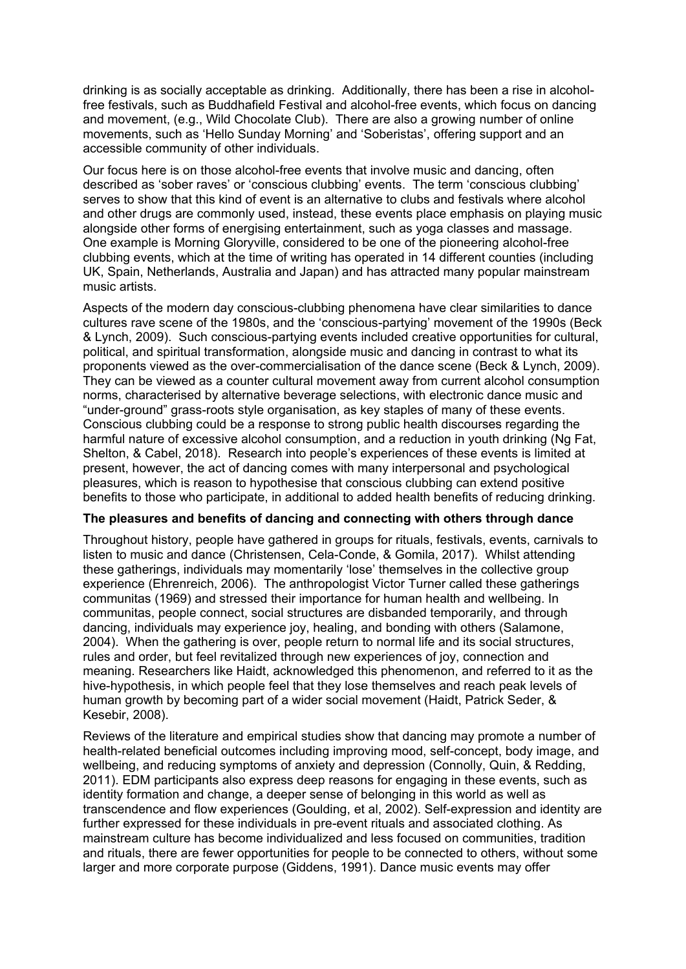drinking is as socially acceptable as drinking. Additionally, there has been a rise in alcoholfree festivals, such as Buddhafield Festival and alcohol-free events, which focus on dancing and movement, (e.g., Wild Chocolate Club). There are also a growing number of online movements, such as 'Hello Sunday Morning' and 'Soberistas', offering support and an accessible community of other individuals.

Our focus here is on those alcohol-free events that involve music and dancing, often described as 'sober raves' or 'conscious clubbing' events. The term 'conscious clubbing' serves to show that this kind of event is an alternative to clubs and festivals where alcohol and other drugs are commonly used, instead, these events place emphasis on playing music alongside other forms of energising entertainment, such as yoga classes and massage. One example is Morning Gloryville, considered to be one of the pioneering alcohol-free clubbing events, which at the time of writing has operated in 14 different counties (including UK, Spain, Netherlands, Australia and Japan) and has attracted many popular mainstream music artists.

Aspects of the modern day conscious-clubbing phenomena have clear similarities to dance cultures rave scene of the 1980s, and the 'conscious-partying' movement of the 1990s (Beck & Lynch, 2009). Such conscious-partying events included creative opportunities for cultural, political, and spiritual transformation, alongside music and dancing in contrast to what its proponents viewed as the over-commercialisation of the dance scene (Beck & Lynch, 2009). They can be viewed as a counter cultural movement away from current alcohol consumption norms, characterised by alternative beverage selections, with electronic dance music and "under-ground" grass-roots style organisation, as key staples of many of these events. Conscious clubbing could be a response to strong public health discourses regarding the harmful nature of excessive alcohol consumption, and a reduction in youth drinking (Ng Fat, Shelton, & Cabel, 2018). Research into people's experiences of these events is limited at present, however, the act of dancing comes with many interpersonal and psychological pleasures, which is reason to hypothesise that conscious clubbing can extend positive benefits to those who participate, in additional to added health benefits of reducing drinking.

### **The pleasures and benefits of dancing and connecting with others through dance**

Throughout history, people have gathered in groups for rituals, festivals, events, carnivals to listen to music and dance (Christensen, Cela-Conde, & Gomila, 2017). Whilst attending these gatherings, individuals may momentarily 'lose' themselves in the collective group experience (Ehrenreich, 2006). The anthropologist Victor Turner called these gatherings communitas (1969) and stressed their importance for human health and wellbeing. In communitas, people connect, social structures are disbanded temporarily, and through dancing, individuals may experience joy, healing, and bonding with others (Salamone, 2004). When the gathering is over, people return to normal life and its social structures, rules and order, but feel revitalized through new experiences of joy, connection and meaning. Researchers like Haidt, acknowledged this phenomenon, and referred to it as the hive-hypothesis, in which people feel that they lose themselves and reach peak levels of human growth by becoming part of a wider social movement (Haidt, Patrick Seder, & Kesebir, 2008).

Reviews of the literature and empirical studies show that dancing may promote a number of health-related beneficial outcomes including improving mood, self-concept, body image, and wellbeing, and reducing symptoms of anxiety and depression (Connolly, Quin, & Redding, 2011). EDM participants also express deep reasons for engaging in these events, such as identity formation and change, a deeper sense of belonging in this world as well as transcendence and flow experiences (Goulding, et al, 2002). Self-expression and identity are further expressed for these individuals in pre-event rituals and associated clothing. As mainstream culture has become individualized and less focused on communities, tradition and rituals, there are fewer opportunities for people to be connected to others, without some larger and more corporate purpose (Giddens, 1991). Dance music events may offer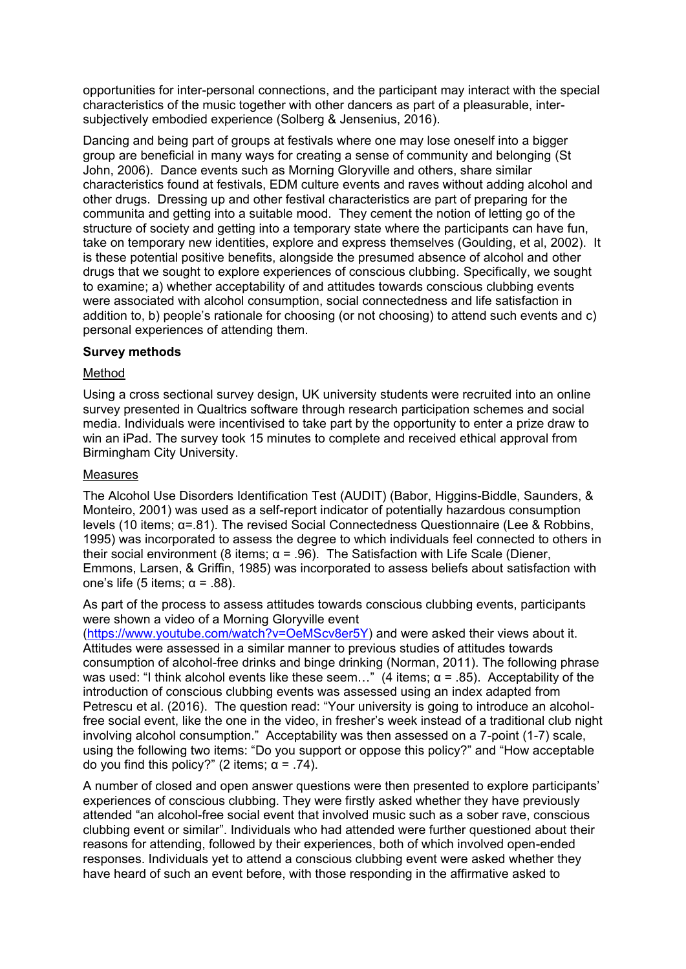opportunities for inter-personal connections, and the participant may interact with the special characteristics of the music together with other dancers as part of a pleasurable, intersubjectively embodied experience (Solberg & Jensenius, 2016).

Dancing and being part of groups at festivals where one may lose oneself into a bigger group are beneficial in many ways for creating a sense of community and belonging (St John, 2006). Dance events such as Morning Gloryville and others, share similar characteristics found at festivals, EDM culture events and raves without adding alcohol and other drugs. Dressing up and other festival characteristics are part of preparing for the communita and getting into a suitable mood. They cement the notion of letting go of the structure of society and getting into a temporary state where the participants can have fun, take on temporary new identities, explore and express themselves (Goulding, et al, 2002). It is these potential positive benefits, alongside the presumed absence of alcohol and other drugs that we sought to explore experiences of conscious clubbing. Specifically, we sought to examine; a) whether acceptability of and attitudes towards conscious clubbing events were associated with alcohol consumption, social connectedness and life satisfaction in addition to, b) people's rationale for choosing (or not choosing) to attend such events and c) personal experiences of attending them.

### **Survey methods**

### Method

Using a cross sectional survey design, UK university students were recruited into an online survey presented in Qualtrics software through research participation schemes and social media. Individuals were incentivised to take part by the opportunity to enter a prize draw to win an iPad. The survey took 15 minutes to complete and received ethical approval from Birmingham City University.

### **Measures**

The Alcohol Use Disorders Identification Test (AUDIT) (Babor, Higgins-Biddle, Saunders, & Monteiro, 2001) was used as a self-report indicator of potentially hazardous consumption levels (10 items; α=.81). The revised Social Connectedness Questionnaire (Lee & Robbins, 1995) was incorporated to assess the degree to which individuals feel connected to others in their social environment (8 items;  $α = .96$ ). The Satisfaction with Life Scale (Diener, Emmons, Larsen, & Griffin, 1985) was incorporated to assess beliefs about satisfaction with one's life (5 items;  $\alpha$  = .88).

As part of the process to assess attitudes towards conscious clubbing events, participants were shown a video of a Morning Gloryville event

[\(https://www.youtube.com/watch?v=OeMScv8er5Y\)](https://www.youtube.com/watch?v=OeMScv8er5Y) and were asked their views about it. Attitudes were assessed in a similar manner to previous studies of attitudes towards consumption of alcohol-free drinks and binge drinking (Norman, 2011). The following phrase was used: "I think alcohol events like these seem..." (4 items;  $\alpha$  = .85). Acceptability of the introduction of conscious clubbing events was assessed using an index adapted from Petrescu et al. (2016). The question read: "Your university is going to introduce an alcoholfree social event, like the one in the video, in fresher's week instead of a traditional club night involving alcohol consumption." Acceptability was then assessed on a 7-point (1-7) scale, using the following two items: "Do you support or oppose this policy?" and "How acceptable do you find this policy?" (2 items; α = .74).

A number of closed and open answer questions were then presented to explore participants' experiences of conscious clubbing. They were firstly asked whether they have previously attended "an alcohol-free social event that involved music such as a sober rave, conscious clubbing event or similar". Individuals who had attended were further questioned about their reasons for attending, followed by their experiences, both of which involved open-ended responses. Individuals yet to attend a conscious clubbing event were asked whether they have heard of such an event before, with those responding in the affirmative asked to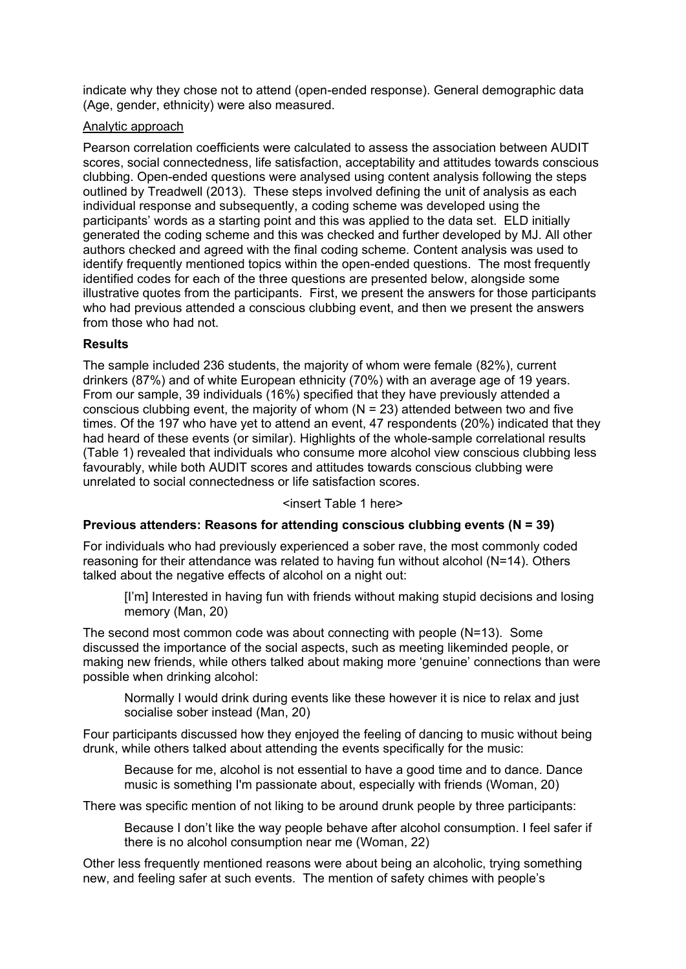indicate why they chose not to attend (open-ended response). General demographic data (Age, gender, ethnicity) were also measured.

# Analytic approach

Pearson correlation coefficients were calculated to assess the association between AUDIT scores, social connectedness, life satisfaction, acceptability and attitudes towards conscious clubbing. Open-ended questions were analysed using content analysis following the steps outlined by Treadwell (2013). These steps involved defining the unit of analysis as each individual response and subsequently, a coding scheme was developed using the participants' words as a starting point and this was applied to the data set. ELD initially generated the coding scheme and this was checked and further developed by MJ. All other authors checked and agreed with the final coding scheme. Content analysis was used to identify frequently mentioned topics within the open-ended questions. The most frequently identified codes for each of the three questions are presented below, alongside some illustrative quotes from the participants. First, we present the answers for those participants who had previous attended a conscious clubbing event, and then we present the answers from those who had not.

## **Results**

The sample included 236 students, the majority of whom were female (82%), current drinkers (87%) and of white European ethnicity (70%) with an average age of 19 years. From our sample, 39 individuals (16%) specified that they have previously attended a conscious clubbing event, the majority of whom  $(N = 23)$  attended between two and five times. Of the 197 who have yet to attend an event, 47 respondents (20%) indicated that they had heard of these events (or similar). Highlights of the whole-sample correlational results (Table 1) revealed that individuals who consume more alcohol view conscious clubbing less favourably, while both AUDIT scores and attitudes towards conscious clubbing were unrelated to social connectedness or life satisfaction scores.

#### <insert Table 1 here>

## **Previous attenders: Reasons for attending conscious clubbing events (N = 39)**

For individuals who had previously experienced a sober rave, the most commonly coded reasoning for their attendance was related to having fun without alcohol (N=14). Others talked about the negative effects of alcohol on a night out:

[I'm] Interested in having fun with friends without making stupid decisions and losing memory (Man, 20)

The second most common code was about connecting with people (N=13). Some discussed the importance of the social aspects, such as meeting likeminded people, or making new friends, while others talked about making more 'genuine' connections than were possible when drinking alcohol:

Normally I would drink during events like these however it is nice to relax and just socialise sober instead (Man, 20)

Four participants discussed how they enjoyed the feeling of dancing to music without being drunk, while others talked about attending the events specifically for the music:

Because for me, alcohol is not essential to have a good time and to dance. Dance music is something I'm passionate about, especially with friends (Woman, 20)

There was specific mention of not liking to be around drunk people by three participants:

Because I don't like the way people behave after alcohol consumption. I feel safer if there is no alcohol consumption near me (Woman, 22)

Other less frequently mentioned reasons were about being an alcoholic, trying something new, and feeling safer at such events. The mention of safety chimes with people's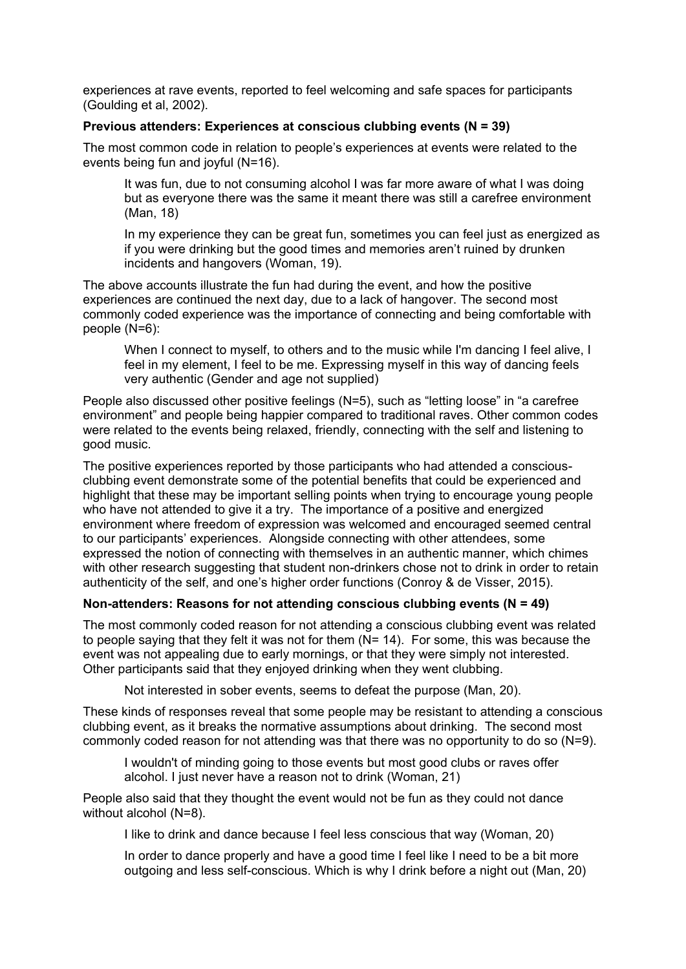experiences at rave events, reported to feel welcoming and safe spaces for participants (Goulding et al, 2002).

### **Previous attenders: Experiences at conscious clubbing events (N = 39)**

The most common code in relation to people's experiences at events were related to the events being fun and joyful (N=16).

It was fun, due to not consuming alcohol I was far more aware of what I was doing but as everyone there was the same it meant there was still a carefree environment (Man, 18)

In my experience they can be great fun, sometimes you can feel just as energized as if you were drinking but the good times and memories aren't ruined by drunken incidents and hangovers (Woman, 19).

The above accounts illustrate the fun had during the event, and how the positive experiences are continued the next day, due to a lack of hangover. The second most commonly coded experience was the importance of connecting and being comfortable with people (N=6):

When I connect to myself, to others and to the music while I'm dancing I feel alive, I feel in my element, I feel to be me. Expressing myself in this way of dancing feels very authentic (Gender and age not supplied)

People also discussed other positive feelings (N=5), such as "letting loose" in "a carefree environment" and people being happier compared to traditional raves. Other common codes were related to the events being relaxed, friendly, connecting with the self and listening to good music.

The positive experiences reported by those participants who had attended a consciousclubbing event demonstrate some of the potential benefits that could be experienced and highlight that these may be important selling points when trying to encourage young people who have not attended to give it a try. The importance of a positive and energized environment where freedom of expression was welcomed and encouraged seemed central to our participants' experiences. Alongside connecting with other attendees, some expressed the notion of connecting with themselves in an authentic manner, which chimes with other research suggesting that student non-drinkers chose not to drink in order to retain authenticity of the self, and one's higher order functions (Conroy & de Visser, 2015).

#### **Non-attenders: Reasons for not attending conscious clubbing events (N = 49)**

The most commonly coded reason for not attending a conscious clubbing event was related to people saying that they felt it was not for them  $(N= 14)$ . For some, this was because the event was not appealing due to early mornings, or that they were simply not interested. Other participants said that they enjoyed drinking when they went clubbing.

Not interested in sober events, seems to defeat the purpose (Man, 20).

These kinds of responses reveal that some people may be resistant to attending a conscious clubbing event, as it breaks the normative assumptions about drinking. The second most commonly coded reason for not attending was that there was no opportunity to do so (N=9).

I wouldn't of minding going to those events but most good clubs or raves offer alcohol. I just never have a reason not to drink (Woman, 21)

People also said that they thought the event would not be fun as they could not dance without alcohol (N=8).

I like to drink and dance because I feel less conscious that way (Woman, 20)

In order to dance properly and have a good time I feel like I need to be a bit more outgoing and less self-conscious. Which is why I drink before a night out (Man, 20)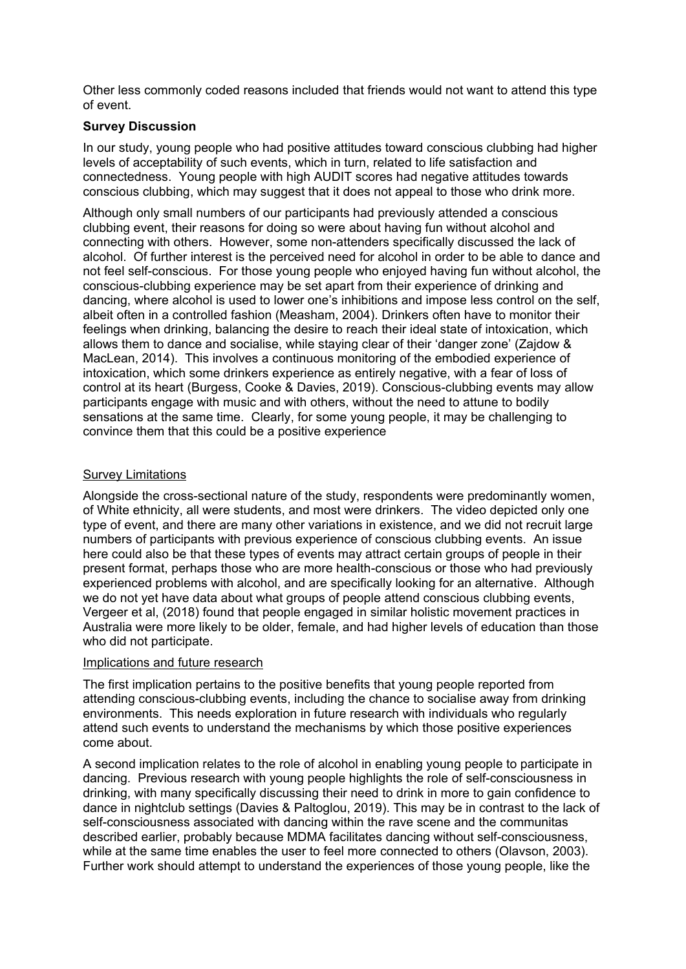Other less commonly coded reasons included that friends would not want to attend this type of event.

# **Survey Discussion**

In our study, young people who had positive attitudes toward conscious clubbing had higher levels of acceptability of such events, which in turn, related to life satisfaction and connectedness. Young people with high AUDIT scores had negative attitudes towards conscious clubbing, which may suggest that it does not appeal to those who drink more.

Although only small numbers of our participants had previously attended a conscious clubbing event, their reasons for doing so were about having fun without alcohol and connecting with others. However, some non-attenders specifically discussed the lack of alcohol. Of further interest is the perceived need for alcohol in order to be able to dance and not feel self-conscious. For those young people who enjoyed having fun without alcohol, the conscious-clubbing experience may be set apart from their experience of drinking and dancing, where alcohol is used to lower one's inhibitions and impose less control on the self, albeit often in a controlled fashion (Measham, 2004). Drinkers often have to monitor their feelings when drinking, balancing the desire to reach their ideal state of intoxication, which allows them to dance and socialise, while staying clear of their 'danger zone' (Zajdow & MacLean, 2014). This involves a continuous monitoring of the embodied experience of intoxication, which some drinkers experience as entirely negative, with a fear of loss of control at its heart (Burgess, Cooke & Davies, 2019). Conscious-clubbing events may allow participants engage with music and with others, without the need to attune to bodily sensations at the same time. Clearly, for some young people, it may be challenging to convince them that this could be a positive experience

## Survey Limitations

Alongside the cross-sectional nature of the study, respondents were predominantly women, of White ethnicity, all were students, and most were drinkers. The video depicted only one type of event, and there are many other variations in existence, and we did not recruit large numbers of participants with previous experience of conscious clubbing events. An issue here could also be that these types of events may attract certain groups of people in their present format, perhaps those who are more health-conscious or those who had previously experienced problems with alcohol, and are specifically looking for an alternative. Although we do not yet have data about what groups of people attend conscious clubbing events, Vergeer et al, (2018) found that people engaged in similar holistic movement practices in Australia were more likely to be older, female, and had higher levels of education than those who did not participate.

## Implications and future research

The first implication pertains to the positive benefits that young people reported from attending conscious-clubbing events, including the chance to socialise away from drinking environments. This needs exploration in future research with individuals who regularly attend such events to understand the mechanisms by which those positive experiences come about.

A second implication relates to the role of alcohol in enabling young people to participate in dancing. Previous research with young people highlights the role of self-consciousness in drinking, with many specifically discussing their need to drink in more to gain confidence to dance in nightclub settings (Davies & Paltoglou, 2019). This may be in contrast to the lack of self-consciousness associated with dancing within the rave scene and the communitas described earlier, probably because MDMA facilitates dancing without self-consciousness, while at the same time enables the user to feel more connected to others (Olavson, 2003). Further work should attempt to understand the experiences of those young people, like the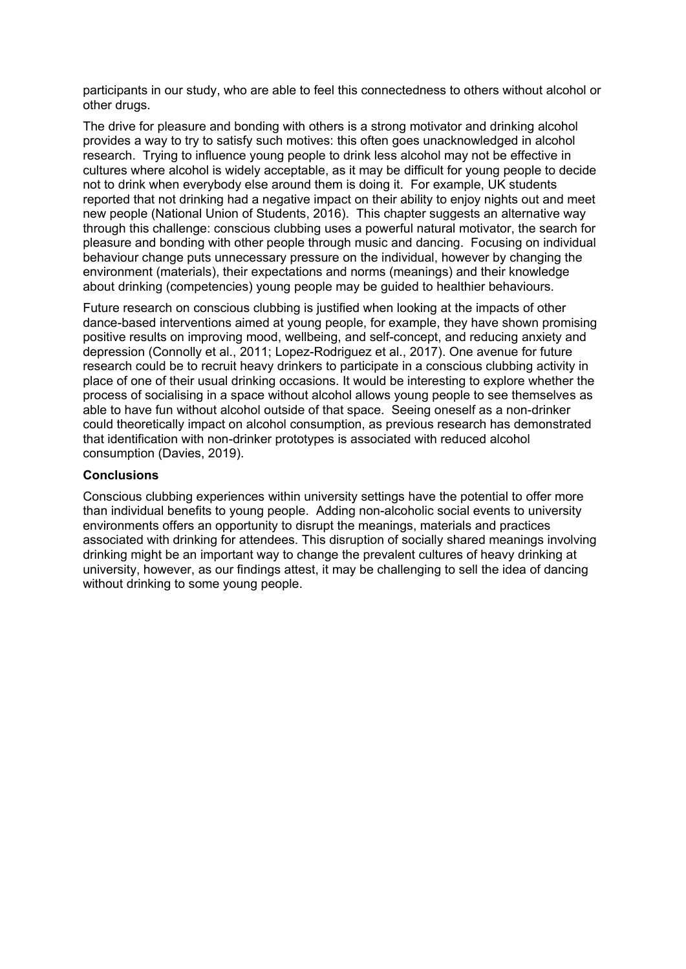participants in our study, who are able to feel this connectedness to others without alcohol or other drugs.

The drive for pleasure and bonding with others is a strong motivator and drinking alcohol provides a way to try to satisfy such motives: this often goes unacknowledged in alcohol research. Trying to influence young people to drink less alcohol may not be effective in cultures where alcohol is widely acceptable, as it may be difficult for young people to decide not to drink when everybody else around them is doing it. For example, UK students reported that not drinking had a negative impact on their ability to enjoy nights out and meet new people (National Union of Students, 2016). This chapter suggests an alternative way through this challenge: conscious clubbing uses a powerful natural motivator, the search for pleasure and bonding with other people through music and dancing. Focusing on individual behaviour change puts unnecessary pressure on the individual, however by changing the environment (materials), their expectations and norms (meanings) and their knowledge about drinking (competencies) young people may be guided to healthier behaviours.

Future research on conscious clubbing is justified when looking at the impacts of other dance-based interventions aimed at young people, for example, they have shown promising positive results on improving mood, wellbeing, and self-concept, and reducing anxiety and depression (Connolly et al., 2011; Lopez-Rodriguez et al., 2017). One avenue for future research could be to recruit heavy drinkers to participate in a conscious clubbing activity in place of one of their usual drinking occasions. It would be interesting to explore whether the process of socialising in a space without alcohol allows young people to see themselves as able to have fun without alcohol outside of that space. Seeing oneself as a non-drinker could theoretically impact on alcohol consumption, as previous research has demonstrated that identification with non-drinker prototypes is associated with reduced alcohol consumption (Davies, 2019).

## **Conclusions**

Conscious clubbing experiences within university settings have the potential to offer more than individual benefits to young people. Adding non-alcoholic social events to university environments offers an opportunity to disrupt the meanings, materials and practices associated with drinking for attendees. This disruption of socially shared meanings involving drinking might be an important way to change the prevalent cultures of heavy drinking at university, however, as our findings attest, it may be challenging to sell the idea of dancing without drinking to some young people.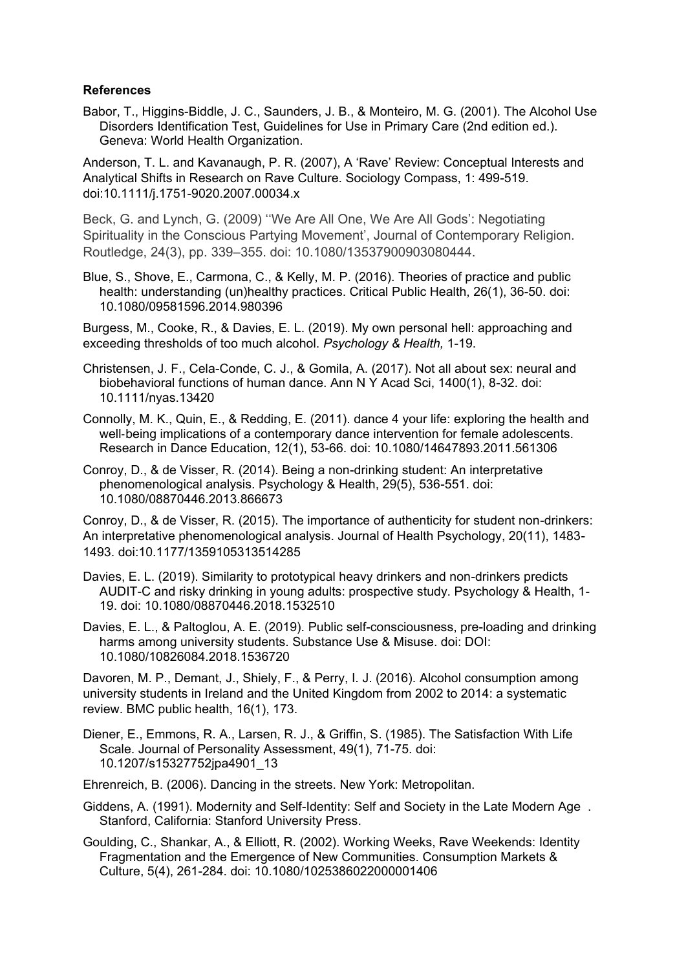### **References**

Babor, T., Higgins-Biddle, J. C., Saunders, J. B., & Monteiro, M. G. (2001). The Alcohol Use Disorders Identification Test, Guidelines for Use in Primary Care (2nd edition ed.). Geneva: World Health Organization.

Anderson, T. L. and Kavanaugh, P. R. (2007), A 'Rave' Review: Conceptual Interests and Analytical Shifts in Research on Rave Culture. Sociology Compass, 1: 499-519. doi:10.1111/j.1751-9020.2007.00034.x

Beck, G. and Lynch, G. (2009) ''We Are All One, We Are All Gods': Negotiating Spirituality in the Conscious Partying Movement', Journal of Contemporary Religion. Routledge, 24(3), pp. 339–355. doi: 10.1080/13537900903080444.

Blue, S., Shove, E., Carmona, C., & Kelly, M. P. (2016). Theories of practice and public health: understanding (un)healthy practices. Critical Public Health, 26(1), 36-50. doi: 10.1080/09581596.2014.980396

Burgess, M., Cooke, R., & Davies, E. L. (2019). My own personal hell: approaching and exceeding thresholds of too much alcohol. *Psychology & Health,* 1-19.

Christensen, J. F., Cela-Conde, C. J., & Gomila, A. (2017). Not all about sex: neural and biobehavioral functions of human dance. Ann N Y Acad Sci, 1400(1), 8-32. doi: 10.1111/nyas.13420

Connolly, M. K., Quin, E., & Redding, E. (2011). dance 4 your life: exploring the health and well-being implications of a contemporary dance intervention for female adolescents. Research in Dance Education, 12(1), 53-66. doi: 10.1080/14647893.2011.561306

Conroy, D., & de Visser, R. (2014). Being a non-drinking student: An interpretative phenomenological analysis. Psychology & Health, 29(5), 536-551. doi: 10.1080/08870446.2013.866673

Conroy, D., & de Visser, R. (2015). The importance of authenticity for student non-drinkers: An interpretative phenomenological analysis. Journal of Health Psychology, 20(11), 1483- 1493. doi:10.1177/1359105313514285

Davies, E. L. (2019). Similarity to prototypical heavy drinkers and non-drinkers predicts AUDIT-C and risky drinking in young adults: prospective study. Psychology & Health, 1- 19. doi: 10.1080/08870446.2018.1532510

Davies, E. L., & Paltoglou, A. E. (2019). Public self-consciousness, pre-loading and drinking harms among university students. Substance Use & Misuse. doi: DOI: 10.1080/10826084.2018.1536720

Davoren, M. P., Demant, J., Shiely, F., & Perry, I. J. (2016). Alcohol consumption among university students in Ireland and the United Kingdom from 2002 to 2014: a systematic review. BMC public health, 16(1), 173.

Diener, E., Emmons, R. A., Larsen, R. J., & Griffin, S. (1985). The Satisfaction With Life Scale. Journal of Personality Assessment, 49(1), 71-75. doi: 10.1207/s15327752jpa4901\_13

Ehrenreich, B. (2006). Dancing in the streets. New York: Metropolitan.

- Giddens, A. (1991). Modernity and Self-Identity: Self and Society in the Late Modern Age . Stanford, California: Stanford University Press.
- Goulding, C., Shankar, A., & Elliott, R. (2002). Working Weeks, Rave Weekends: Identity Fragmentation and the Emergence of New Communities. Consumption Markets & Culture, 5(4), 261-284. doi: 10.1080/1025386022000001406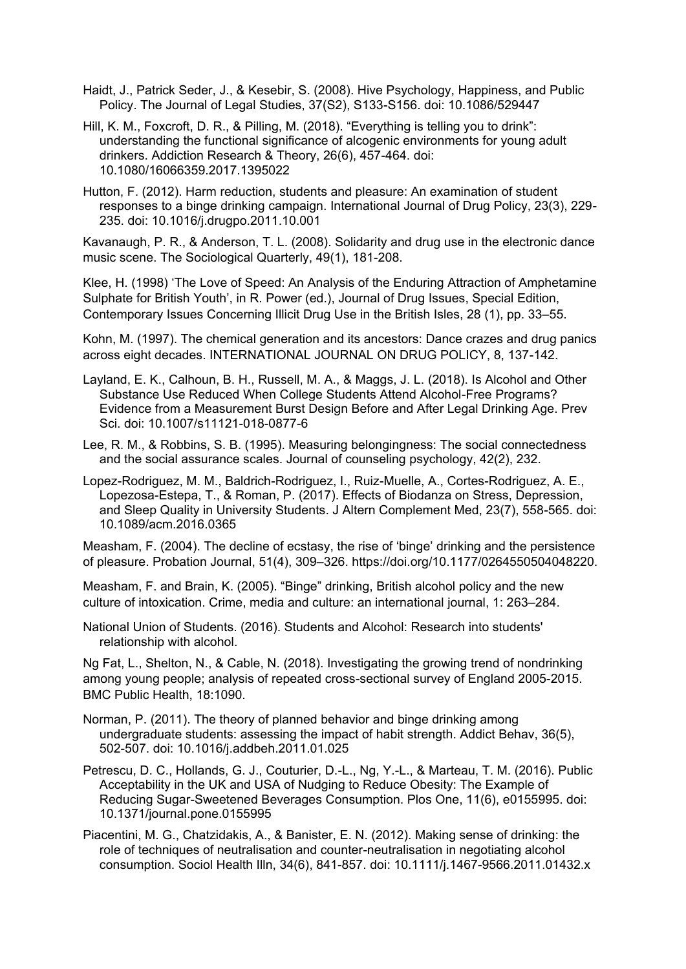Haidt, J., Patrick Seder, J., & Kesebir, S. (2008). Hive Psychology, Happiness, and Public Policy. The Journal of Legal Studies, 37(S2), S133-S156. doi: 10.1086/529447

- Hill, K. M., Foxcroft, D. R., & Pilling, M. (2018). "Everything is telling you to drink": understanding the functional significance of alcogenic environments for young adult drinkers. Addiction Research & Theory, 26(6), 457-464. doi: 10.1080/16066359.2017.1395022
- Hutton, F. (2012). Harm reduction, students and pleasure: An examination of student responses to a binge drinking campaign. International Journal of Drug Policy, 23(3), 229- 235. doi: 10.1016/j.drugpo.2011.10.001

Kavanaugh, P. R., & Anderson, T. L. (2008). Solidarity and drug use in the electronic dance music scene. The Sociological Quarterly, 49(1), 181-208.

Klee, H. (1998) 'The Love of Speed: An Analysis of the Enduring Attraction of Amphetamine Sulphate for British Youth', in R. Power (ed.), Journal of Drug Issues, Special Edition, Contemporary Issues Concerning Illicit Drug Use in the British Isles, 28 (1), pp. 33–55.

Kohn, M. (1997). The chemical generation and its ancestors: Dance crazes and drug panics across eight decades. INTERNATIONAL JOURNAL ON DRUG POLICY, 8, 137-142.

Layland, E. K., Calhoun, B. H., Russell, M. A., & Maggs, J. L. (2018). Is Alcohol and Other Substance Use Reduced When College Students Attend Alcohol-Free Programs? Evidence from a Measurement Burst Design Before and After Legal Drinking Age. Prev Sci. doi: 10.1007/s11121-018-0877-6

Lee, R. M., & Robbins, S. B. (1995). Measuring belongingness: The social connectedness and the social assurance scales. Journal of counseling psychology, 42(2), 232.

Lopez-Rodriguez, M. M., Baldrich-Rodriguez, I., Ruiz-Muelle, A., Cortes-Rodriguez, A. E., Lopezosa-Estepa, T., & Roman, P. (2017). Effects of Biodanza on Stress, Depression, and Sleep Quality in University Students. J Altern Complement Med, 23(7), 558-565. doi: 10.1089/acm.2016.0365

Measham, F. (2004). The decline of ecstasy, the rise of 'binge' drinking and the persistence of pleasure. Probation Journal, 51(4), 309–326. https://doi.org/10.1177/0264550504048220.

Measham, F. and Brain, K. (2005). "Binge" drinking, British alcohol policy and the new culture of intoxication. Crime, media and culture: an international journal, 1: 263–284.

National Union of Students. (2016). Students and Alcohol: Research into students' relationship with alcohol.

Ng Fat, L., Shelton, N., & Cable, N. (2018). Investigating the growing trend of nondrinking among young people; analysis of repeated cross-sectional survey of England 2005-2015. BMC Public Health, 18:1090.

- Norman, P. (2011). The theory of planned behavior and binge drinking among undergraduate students: assessing the impact of habit strength. Addict Behav, 36(5), 502-507. doi: 10.1016/j.addbeh.2011.01.025
- Petrescu, D. C., Hollands, G. J., Couturier, D.-L., Ng, Y.-L., & Marteau, T. M. (2016). Public Acceptability in the UK and USA of Nudging to Reduce Obesity: The Example of Reducing Sugar-Sweetened Beverages Consumption. Plos One, 11(6), e0155995. doi: 10.1371/journal.pone.0155995
- Piacentini, M. G., Chatzidakis, A., & Banister, E. N. (2012). Making sense of drinking: the role of techniques of neutralisation and counter-neutralisation in negotiating alcohol consumption. Sociol Health Illn, 34(6), 841-857. doi: 10.1111/j.1467-9566.2011.01432.x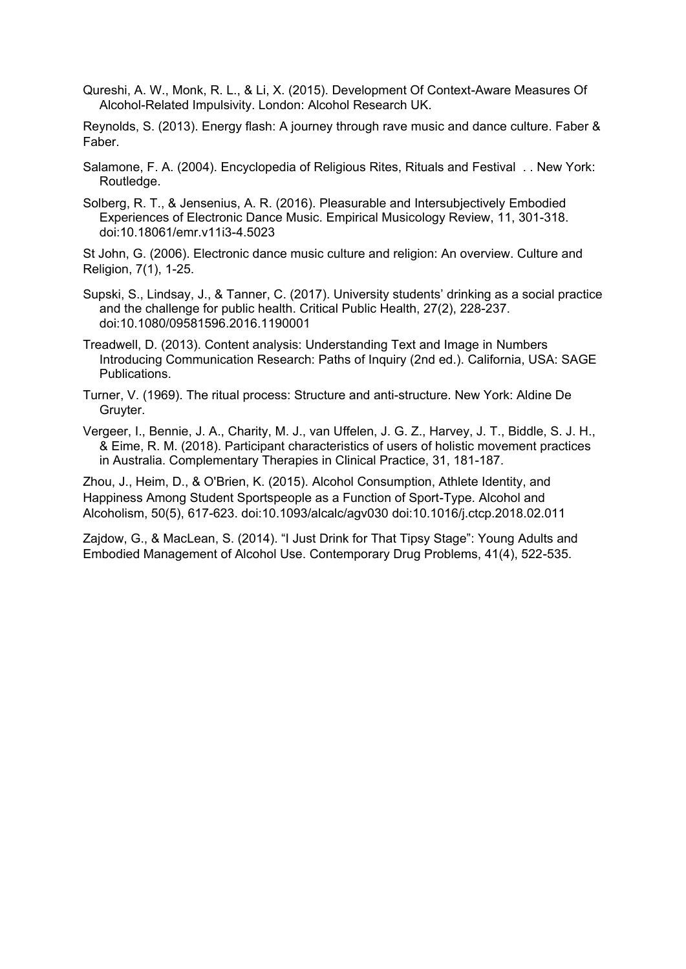Qureshi, A. W., Monk, R. L., & Li, X. (2015). Development Of Context-Aware Measures Of Alcohol-Related Impulsivity. London: Alcohol Research UK.

Reynolds, S. (2013). Energy flash: A journey through rave music and dance culture. Faber & Faber.

- Salamone, F. A. (2004). Encyclopedia of Religious Rites, Rituals and Festival . . New York: Routledge.
- Solberg, R. T., & Jensenius, A. R. (2016). Pleasurable and Intersubjectively Embodied Experiences of Electronic Dance Music. Empirical Musicology Review, 11, 301-318. doi:10.18061/emr.v11i3-4.5023

St John, G. (2006). Electronic dance music culture and religion: An overview. Culture and Religion, 7(1), 1-25.

- Supski, S., Lindsay, J., & Tanner, C. (2017). University students' drinking as a social practice and the challenge for public health. Critical Public Health, 27(2), 228-237. doi:10.1080/09581596.2016.1190001
- Treadwell, D. (2013). Content analysis: Understanding Text and Image in Numbers Introducing Communication Research: Paths of Inquiry (2nd ed.). California, USA: SAGE Publications.
- Turner, V. (1969). The ritual process: Structure and anti-structure. New York: Aldine De Gruyter.

Vergeer, I., Bennie, J. A., Charity, M. J., van Uffelen, J. G. Z., Harvey, J. T., Biddle, S. J. H., & Eime, R. M. (2018). Participant characteristics of users of holistic movement practices in Australia. Complementary Therapies in Clinical Practice, 31, 181-187.

Zhou, J., Heim, D., & O'Brien, K. (2015). Alcohol Consumption, Athlete Identity, and Happiness Among Student Sportspeople as a Function of Sport-Type. Alcohol and Alcoholism, 50(5), 617-623. doi:10.1093/alcalc/agv030 doi:10.1016/j.ctcp.2018.02.011

Zajdow, G., & MacLean, S. (2014). "I Just Drink for That Tipsy Stage": Young Adults and Embodied Management of Alcohol Use. Contemporary Drug Problems, 41(4), 522-535.